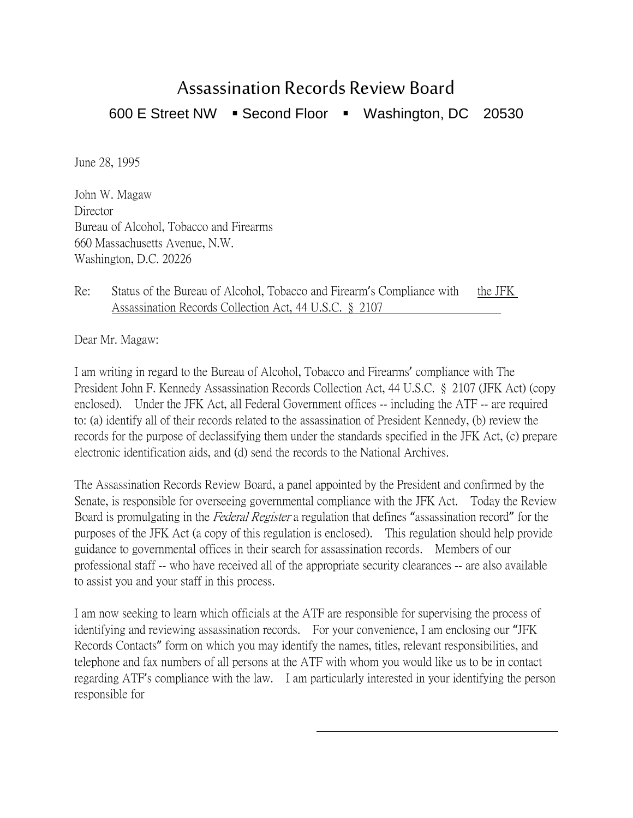## Assassination Records Review Board

600 E Street NW · Second Floor · Washington, DC 20530

June 28, 1995

John W. Magaw **Director** Bureau of Alcohol, Tobacco and Firearms 660 Massachusetts Avenue, N.W. Washington, D.C. 20226

Re: Status of the Bureau of Alcohol, Tobacco and Firearm's Compliance with the JFK Assassination Records Collection Act, 44 U.S.C. § 2107

Dear Mr. Magaw:

I am writing in regard to the Bureau of Alcohol, Tobacco and Firearms' compliance with The President John F. Kennedy Assassination Records Collection Act, 44 U.S.C. § 2107 (JFK Act) (copy enclosed). Under the JFK Act, all Federal Government offices -- including the ATF -- are required to: (a) identify all of their records related to the assassination of President Kennedy, (b) review the records for the purpose of declassifying them under the standards specified in the JFK Act, (c) prepare electronic identification aids, and (d) send the records to the National Archives.

The Assassination Records Review Board, a panel appointed by the President and confirmed by the Senate, is responsible for overseeing governmental compliance with the JFK Act. Today the Review Board is promulgating in the Federal Register a regulation that defines "assassination record" for the purposes of the JFK Act (a copy of this regulation is enclosed). This regulation should help provide guidance to governmental offices in their search for assassination records. Members of our professional staff -- who have received all of the appropriate security clearances -- are also available to assist you and your staff in this process.

I am now seeking to learn which officials at the ATF are responsible for supervising the process of identifying and reviewing assassination records. For your convenience, I am enclosing our "JFK Records Contacts" form on which you may identify the names, titles, relevant responsibilities, and telephone and fax numbers of all persons at the ATF with whom you would like us to be in contact regarding ATF's compliance with the law. I am particularly interested in your identifying the person responsible for

 $\overline{a}$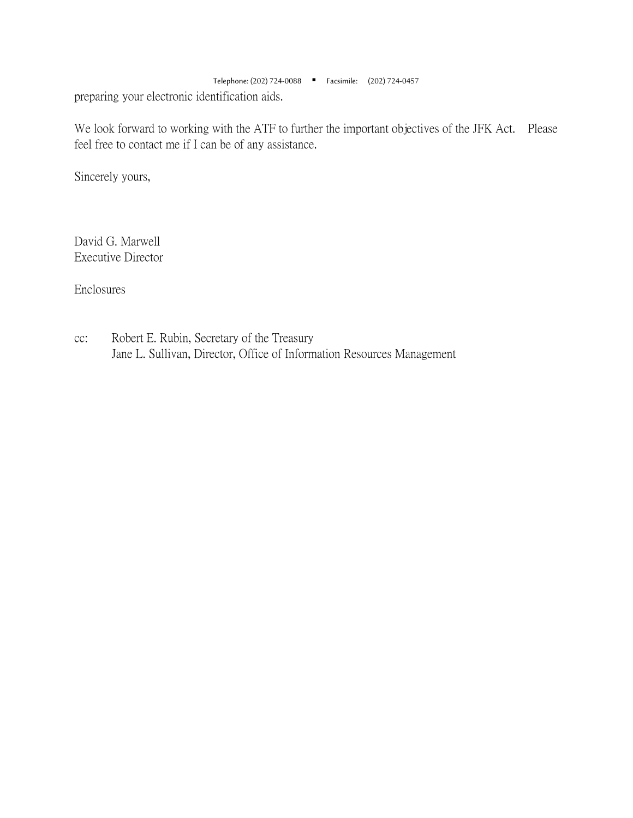Telephone: (202) 724-0088 Facsimile: (202) 724-0457 preparing your electronic identification aids.

We look forward to working with the ATF to further the important objectives of the JFK Act. Please feel free to contact me if I can be of any assistance.

Sincerely yours,

David G. Marwell Executive Director

Enclosures

cc: Robert E. Rubin, Secretary of the Treasury Jane L. Sullivan, Director, Office of Information Resources Management